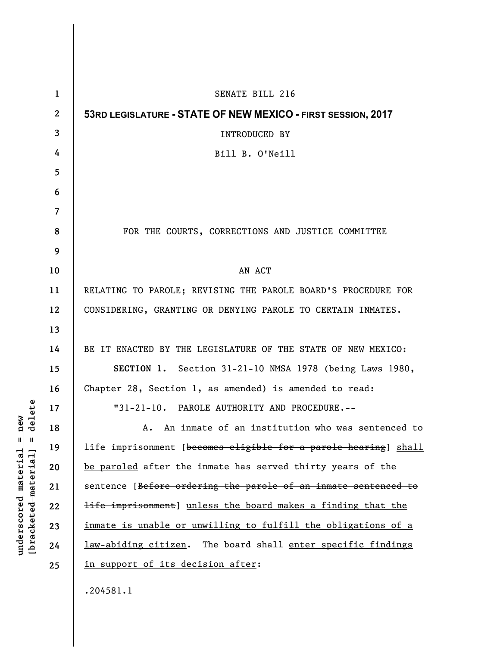| $\mathbf{1}$   | SENATE BILL 216                                                          |
|----------------|--------------------------------------------------------------------------|
| $\mathbf{2}$   | 53RD LEGISLATURE - STATE OF NEW MEXICO - FIRST SESSION, 2017             |
| 3              | <b>INTRODUCED BY</b>                                                     |
| 4              | Bill B. O'Neill                                                          |
| 5              |                                                                          |
| 6              |                                                                          |
| $\overline{7}$ |                                                                          |
| 8              | FOR THE COURTS, CORRECTIONS AND JUSTICE COMMITTEE                        |
| 9              |                                                                          |
| 10             | AN ACT                                                                   |
| 11             | RELATING TO PAROLE; REVISING THE PAROLE BOARD'S PROCEDURE FOR            |
| 12             | CONSIDERING, GRANTING OR DENYING PAROLE TO CERTAIN INMATES.              |
| 13             |                                                                          |
| 14             | BE IT ENACTED BY THE LEGISLATURE OF THE STATE OF NEW MEXICO:             |
| 15             | SECTION 1. Section 31-21-10 NMSA 1978 (being Laws 1980,                  |
| 16             | Chapter 28, Section 1, as amended) is amended to read:                   |
| 17             | "31-21-10. PAROLE AUTHORITY AND PROCEDURE.--                             |
| 18             | An inmate of an institution who was sentenced to<br>А.                   |
| 19             | life imprisonment [becomes eligible for a parole hearing] shall          |
| 20             | be paroled after the inmate has served thirty years of the               |
| 21             | sentence [Before ordering the parole of an inmate sentenced to           |
| 22             | <del>life imprisonment</del> ] unless the board makes a finding that the |
| 23             | <u>inmate is unable or unwilling to fulfill the obligations of a</u>     |
| 24             | law-abiding citizen. The board shall enter specific findings             |
| 25             | in support of its decision after:                                        |
|                | .204581.1                                                                |

**underscored material = new [bracketed material] = delete**

 $[bracketeed-materiat] = delete$  $underscored material = new$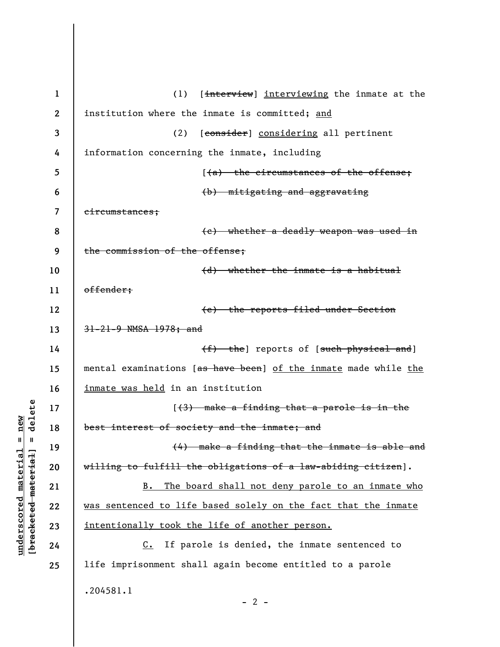| $\mathbf{1}$ | (1)<br>[interview] interviewing the inmate at the               |
|--------------|-----------------------------------------------------------------|
| $\mathbf{2}$ | institution where the inmate is committed; and                  |
| 3            | (2)<br>[consider] considering all pertinent                     |
| 4            | information concerning the inmate, including                    |
| 5            | [(a) the circumstances of the offense;                          |
| 6            | (b) mitigating and aggravating                                  |
| 7            | eircumstances;                                                  |
| 8            | (c) whether a deadly weapon was used in                         |
| 9            | the commission of the offense;                                  |
| 10           | (d) whether the inmate is a habitual                            |
| 11           | offender;                                                       |
| 12           | (e) the reports filed under Section                             |
| 13           | 31-21-9 NMSA 1978; and                                          |
| 14           | (f) the] reports of [such physical and]                         |
| 15           | mental examinations [as have been] of the inmate made while the |
| 16           | inmate was held in an institution                               |
| 17           | $(3)$ make a finding that a parole is in the                    |
| 18           | best interest of society and the inmate; and                    |
| 19           | (4) make a finding that the inmate is able and                  |
| 20           | willing to fulfill the obligations of a law-abiding citizen].   |
| 21           | The board shall not deny parole to an inmate who<br>$B$ .       |
| 22           | was sentenced to life based solely on the fact that the inmate  |
| 23           | intentionally took the life of another person.                  |
| 24           | If parole is denied, the inmate sentenced to<br>$c_{\bullet}$   |
| 25           | life imprisonment shall again become entitled to a parole       |
|              | .204581.1<br>$-2$ -                                             |

 $[bracketeed-materiat] = delete$ **[bracketed material] = delete**  $underscored material = new$ **underscored material = new**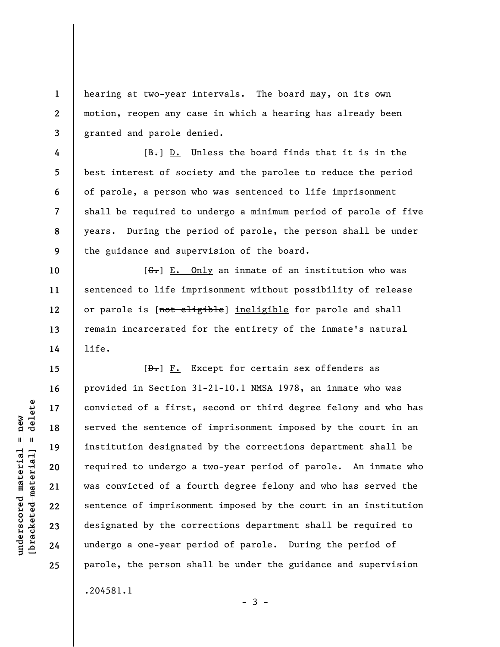hearing at two-year intervals. The board may, on its own motion, reopen any case in which a hearing has already been granted and parole denied.

 $[**B**$ . Unless the board finds that it is in the best interest of society and the parolee to reduce the period of parole, a person who was sentenced to life imprisonment shall be required to undergo a minimum period of parole of five years. During the period of parole, the person shall be under the guidance and supervision of the board.

 $[G<sub>1</sub>]$  E. Only an inmate of an institution who was sentenced to life imprisonment without possibility of release or parole is [not eligible] ineligible for parole and shall remain incarcerated for the entirety of the inmate's natural life.

 $[\frac{D-1}{2}]$   $\underline{F.}$  Except for certain sex offenders as provided in Section 31-21-10.1 NMSA 1978, an inmate who was convicted of a first, second or third degree felony and who has served the sentence of imprisonment imposed by the court in an institution designated by the corrections department shall be required to undergo a two-year period of parole. An inmate who was convicted of a fourth degree felony and who has served the sentence of imprisonment imposed by the court in an institution designated by the corrections department shall be required to undergo a one-year period of parole. During the period of parole, the person shall be under the guidance and supervision .204581.1

 $\frac{1}{2}$  of  $\frac{1}{2}$  and  $\frac{1}{2}$  and  $\frac{1}{2}$  and  $\frac{1}{2}$  and  $\frac{1}{2}$  and  $\frac{1}{2}$  and  $\frac{1}{2}$  and  $\frac{1}{2}$  and  $\frac{1}{2}$  and  $\frac{1}{2}$  and  $\frac{1}{2}$  and  $\frac{1}{2}$  and  $\frac{1}{2}$  and  $\frac{1}{2}$  and  $\frac{1}{2}$  an **[bracketed material] = delete**  $underscored material = new$ **underscored material = new**

**1** 

**2** 

**3** 

**4** 

**5** 

**6** 

**7** 

**8** 

**9** 

**10** 

**11** 

**12** 

**13** 

**14** 

**15** 

**16** 

**17** 

**18** 

**19** 

**20** 

**21** 

**22** 

**23** 

**24** 

**25** 

 $-3 -$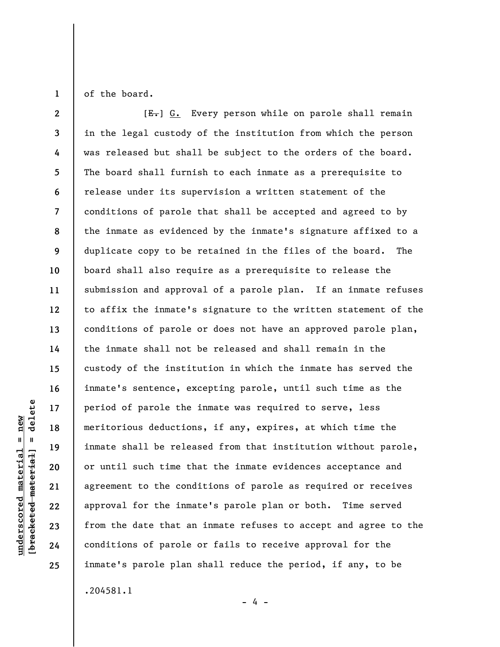of the board.

**1** 

**2 3 4 5 6 7 8 9 10 11 12 13 14 15 16 17 18 19 20 21 22 23 24 25**   $[E-]$  G. Every person while on parole shall remain in the legal custody of the institution from which the person was released but shall be subject to the orders of the board. The board shall furnish to each inmate as a prerequisite to release under its supervision a written statement of the conditions of parole that shall be accepted and agreed to by the inmate as evidenced by the inmate's signature affixed to a duplicate copy to be retained in the files of the board. The board shall also require as a prerequisite to release the submission and approval of a parole plan. If an inmate refuses to affix the inmate's signature to the written statement of the conditions of parole or does not have an approved parole plan, the inmate shall not be released and shall remain in the custody of the institution in which the inmate has served the inmate's sentence, excepting parole, until such time as the period of parole the inmate was required to serve, less meritorious deductions, if any, expires, at which time the inmate shall be released from that institution without parole, or until such time that the inmate evidences acceptance and agreement to the conditions of parole as required or receives approval for the inmate's parole plan or both. Time served from the date that an inmate refuses to accept and agree to the conditions of parole or fails to receive approval for the inmate's parole plan shall reduce the period, if any, to be .204581.1

- 4 -

delete **[bracketed material] = delete**  $underscored material = new$ **underscored material = new**  $\mathbf{I}$ bracketed material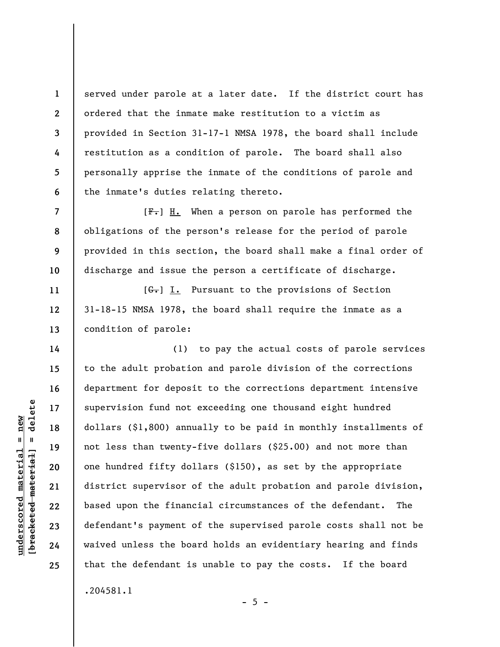served under parole at a later date. If the district court has ordered that the inmate make restitution to a victim as provided in Section 31-17-1 NMSA 1978, the board shall include restitution as a condition of parole. The board shall also personally apprise the inmate of the conditions of parole and the inmate's duties relating thereto.

 $[F-]$  H. When a person on parole has performed the obligations of the person's release for the period of parole provided in this section, the board shall make a final order of discharge and issue the person a certificate of discharge.

 $[G<sub>r</sub>]$  I. Pursuant to the provisions of Section 31-18-15 NMSA 1978, the board shall require the inmate as a condition of parole:

(1) to pay the actual costs of parole services to the adult probation and parole division of the corrections department for deposit to the corrections department intensive supervision fund not exceeding one thousand eight hundred dollars (\$1,800) annually to be paid in monthly installments of not less than twenty-five dollars (\$25.00) and not more than one hundred fifty dollars (\$150), as set by the appropriate district supervisor of the adult probation and parole division, based upon the financial circumstances of the defendant. The defendant's payment of the supervised parole costs shall not be waived unless the board holds an evidentiary hearing and finds that the defendant is unable to pay the costs. If the board

.204581.1

 $\frac{1}{2}$  intereted material = delete **[bracketed material] = delete**  $underscored$  material = new **underscored material = new**

**1** 

**2** 

**3** 

**4** 

**5** 

**6** 

**7** 

**8** 

**9** 

**10** 

**11** 

**12** 

**13** 

**14** 

**15** 

**16** 

**17** 

**18** 

**19** 

**20** 

**21** 

**22** 

**23** 

**24** 

**25** 

 $- 5 -$